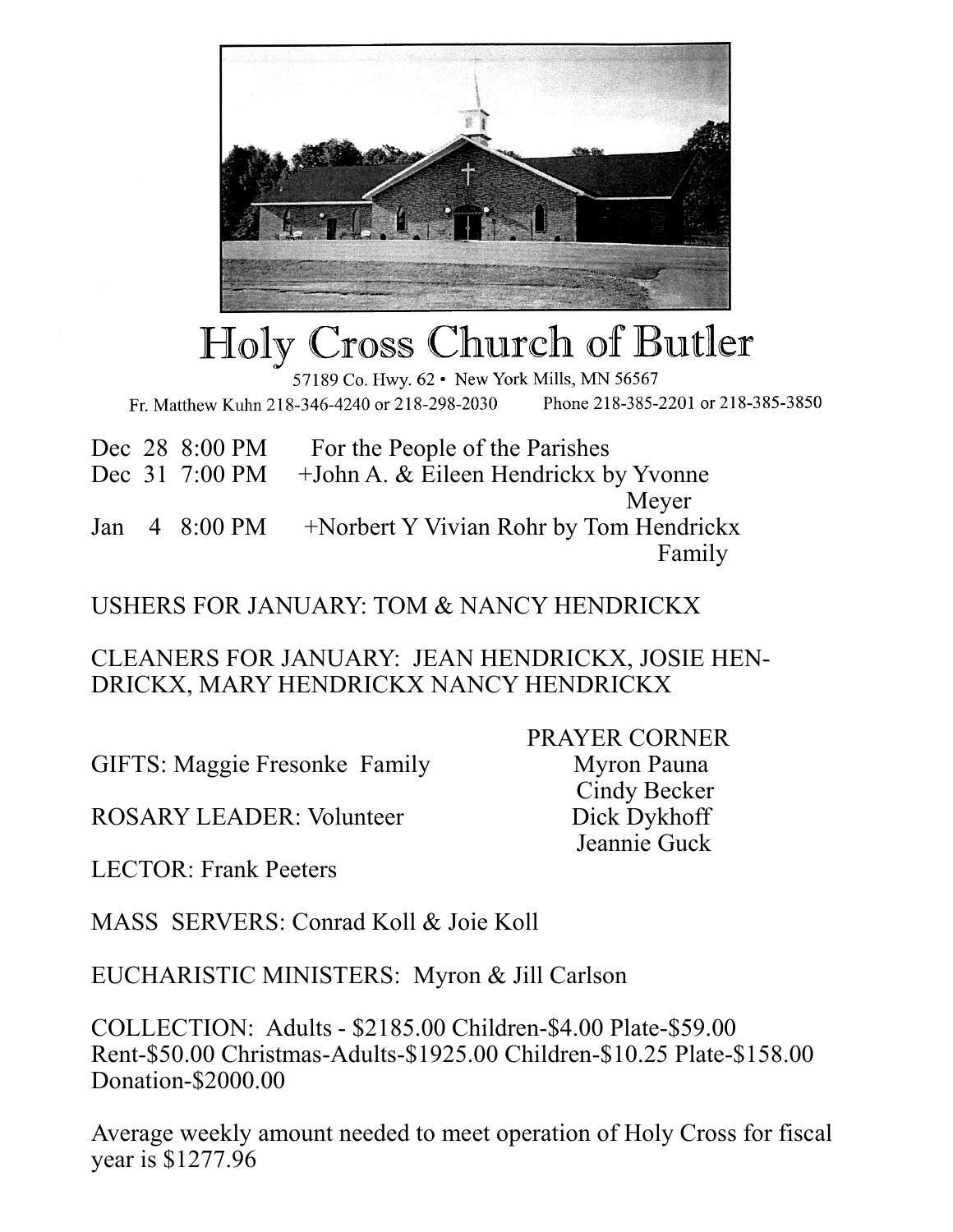

## Holy Cross Church of Butler

57189 Co. Hwy. 62 . New York Mills, MN 56567 Fr. Matthew Kuhn 218-346-4240 or 218-298-2030 Phone 218-385-2201 or 218-385-3850

|  | Dec 28 8:00 PM     | For the People of the Parishes                        |
|--|--------------------|-------------------------------------------------------|
|  |                    | Dec 31 7:00 PM + John A. & Eileen Hendrickx by Yvonne |
|  |                    | Meyer                                                 |
|  | Jan $4\,8:00\,$ PM | +Norbert Y Vivian Rohr by Tom Hendrickx               |
|  |                    | Family                                                |

## USHERS FOR JANUARY: TOM & NANCY HENDRICKX

CLEANERS FOR JANUARY: JEAN HENDRICKX, JOSIE HEN-DRICKX, MARY HENDRICKX NANCY HENDRICKX

GIFTS: Maggie Fresonke Family Myron Pauna

ROSARY LEADER: Volunteer Dick Dykhoff

 PRAYER CORNER Cindy Becker Jeannie Guck

LECTOR: Frank Peeters

MASS SERVERS: Conrad Koll & Joie Koll

EUCHARISTIC MINISTERS: Myron & Jill Carlson

COLLECTION: Adults - \$2185.00 Children-\$4.00 Plate-\$59.00 Rent-\$50.00 Christmas-Adults-\$1925.00 Children-\$10.25 Plate-\$158.00 Donation-\$2000.00

Average weekly amount needed to meet operation of Holy Cross for fiscal year is \$1277.96